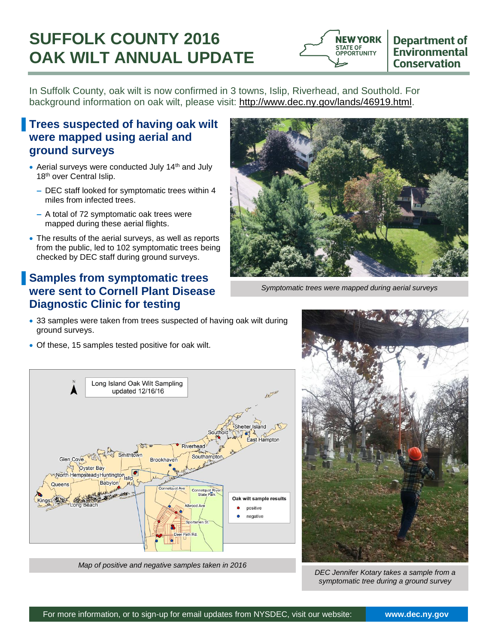# **SUFFOLK COUNTY 2016 OAK WILT ANNUAL UPDATE**



In Suffolk County, oak wilt is now confirmed in 3 towns, Islip, Riverhead, and Southold. For background information on oak wilt, please visit: [http://www.dec.ny.gov/lands/46919.html.](http://www.dec.ny.gov/lands/46919.html)

## ▐ **Trees suspected of having oak wilt were mapped using aerial and ground surveys**

- Aerial surveys were conducted July 14<sup>th</sup> and July 18<sup>th</sup> over Central Islip.
	- **–** DEC staff looked for symptomatic trees within 4 miles from infected trees.
	- **–** A total of 72 symptomatic oak trees were mapped during these aerial flights.
- The results of the aerial surveys, as well as reports from the public, led to 102 symptomatic trees being checked by DEC staff during ground surveys.

# ▐ **Samples from symptomatic trees were sent to Cornell Plant Disease Diagnostic Clinic for testing**

- 33 samples were taken from trees suspected of having oak wilt during ground surveys.
- Of these, 15 samples tested positive for oak wilt.



*Symptomatic trees were mapped during aerial surveys*



*Map of positive and negative samples taken in 2016*



*DEC Jennifer Kotary takes a sample from a symptomatic tree during a ground survey*